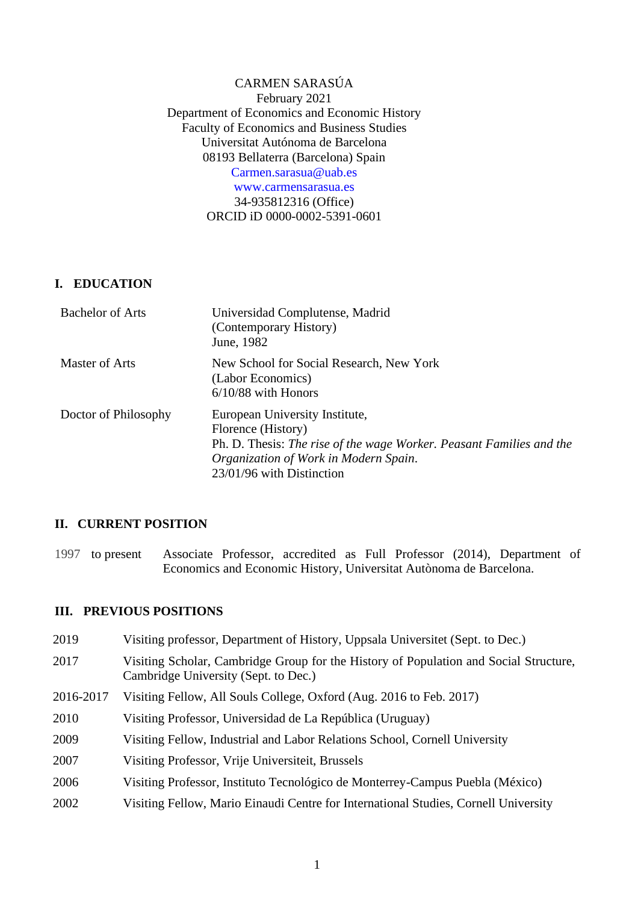## CARMEN SARASÚA February 2021 Department of Economics and Economic History Faculty of Economics and Business Studies Universitat Autónoma de Barcelona 08193 Bellaterra (Barcelona) Spain [Carmen.sarasua@uab.es](mailto:Carmen.sarasua@uab.es) www.carmensarasua.es 34-935812316 (Office) ORCID iD 0000-0002-5391-0601

# **I. EDUCATION**

| <b>Bachelor of Arts</b> | Universidad Complutense, Madrid<br>(Contemporary History)<br>June, 1982                                                                                                                            |
|-------------------------|----------------------------------------------------------------------------------------------------------------------------------------------------------------------------------------------------|
| Master of Arts          | New School for Social Research, New York<br>(Labor Economics)<br>$6/10/88$ with Honors                                                                                                             |
| Doctor of Philosophy    | European University Institute,<br>Florence (History)<br>Ph. D. Thesis: The rise of the wage Worker. Peasant Families and the<br>Organization of Work in Modern Spain.<br>23/01/96 with Distinction |

# **II. CURRENT POSITION**

1997 to present Associate Professor, accredited as Full Professor (2014), Department of Economics and Economic History, Universitat Autònoma de Barcelona.

## **III. PREVIOUS POSITIONS**

| 2019      | Visiting professor, Department of History, Uppsala Universitet (Sept. to Dec.)                                                |
|-----------|-------------------------------------------------------------------------------------------------------------------------------|
| 2017      | Visiting Scholar, Cambridge Group for the History of Population and Social Structure,<br>Cambridge University (Sept. to Dec.) |
| 2016-2017 | Visiting Fellow, All Souls College, Oxford (Aug. 2016 to Feb. 2017)                                                           |
| 2010      | Visiting Professor, Universidad de La República (Uruguay)                                                                     |
| 2009      | Visiting Fellow, Industrial and Labor Relations School, Cornell University                                                    |
| 2007      | Visiting Professor, Vrije Universiteit, Brussels                                                                              |
| 2006      | Visiting Professor, Instituto Tecnológico de Monterrey-Campus Puebla (México)                                                 |
| 2002      | Visiting Fellow, Mario Einaudi Centre for International Studies, Cornell University                                           |
|           |                                                                                                                               |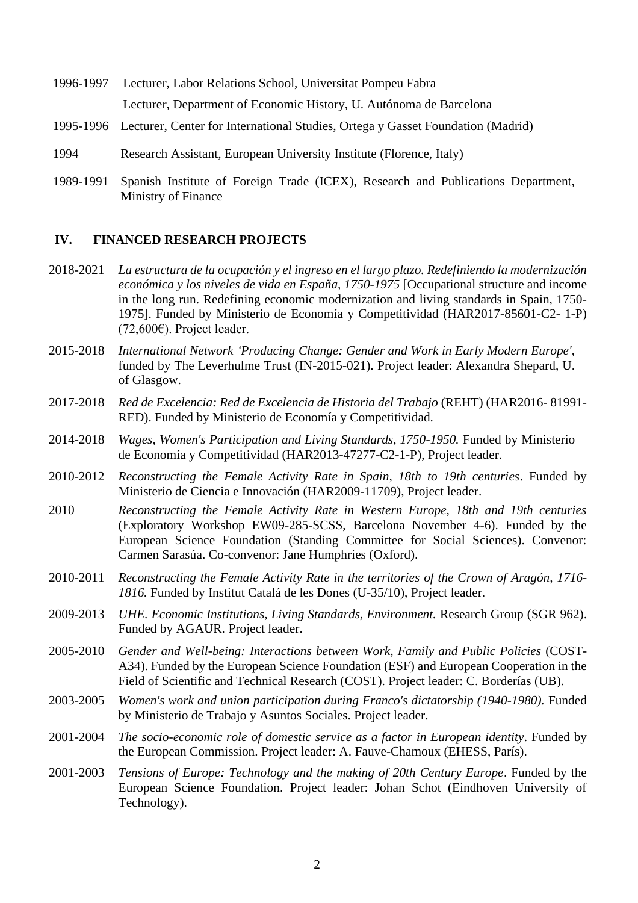- 1996-1997 Lecturer, Labor Relations School, Universitat Pompeu Fabra Lecturer, Department of Economic History, U. Autónoma de Barcelona
- 1995-1996 Lecturer, Center for International Studies, Ortega y Gasset Foundation (Madrid)
- 1994 Research Assistant, European University Institute (Florence, Italy)
- 1989-1991 Spanish Institute of Foreign Trade (ICEX), Research and Publications Department, Ministry of Finance

#### **IV. FINANCED RESEARCH PROJECTS**

- 2018-2021 *La estructura de la ocupación y el ingreso en el largo plazo. Redefiniendo la modernización económica y los niveles de vida en España, 1750-1975* [Occupational structure and income in the long run. Redefining economic modernization and living standards in Spain, 1750- 1975]. Funded by Ministerio de Economía y Competitividad (HAR2017-85601-C2- 1-P) (72,600€). Project leader.
- 2015-2018 *International Network 'Producing Change: Gender and Work in Early Modern Europe'*, funded by The Leverhulme Trust (IN-2015-021). Project leader: Alexandra Shepard, U. of Glasgow.
- 2017-2018 *Red de Excelencia: Red de Excelencia de Historia del Trabajo* (REHT) (HAR2016- 81991- RED). Funded by Ministerio de Economía y Competitividad.
- 2014-2018 *Wages, Women's Participation and Living Standards, 1750-1950.* Funded by Ministerio de Economía y Competitividad (HAR2013-47277-C2-1-P), Project leader.
- 2010-2012 *Reconstructing the Female Activity Rate in Spain, 18th to 19th centuries*. Funded by Ministerio de Ciencia e Innovación (HAR2009-11709), Project leader.
- 2010 *Reconstructing the Female Activity Rate in Western Europe, 18th and 19th centuries* (Exploratory Workshop EW09-285-SCSS, Barcelona November 4-6). Funded by the European Science Foundation (Standing Committee for Social Sciences). Convenor: Carmen Sarasúa. Co-convenor: Jane Humphries (Oxford).
- 2010-2011 *Reconstructing the Female Activity Rate in the territories of the Crown of Aragón, 1716- 1816.* Funded by Institut Catalá de les Dones (U-35/10), Project leader.
- 2009-2013 *UHE. Economic Institutions, Living Standards, Environment.* Research Group (SGR 962). Funded by AGAUR. Project leader.
- 2005-2010 *Gender and Well-being: Interactions between Work, Family and Public Policies* (COST-A34). Funded by the European Science Foundation (ESF) and European Cooperation in the Field of Scientific and Technical Research (COST). Project leader: C. Borderías (UB).
- 2003-2005 *Women's work and union participation during Franco's dictatorship (1940-1980).* Funded by Ministerio de Trabajo y Asuntos Sociales. Project leader.
- 2001-2004 *The socio-economic role of domestic service as a factor in European identity*. Funded by the European Commission. Project leader: A. Fauve-Chamoux (EHESS, París).
- 2001-2003 *Tensions of Europe: Technology and the making of 20th Century Europe*. Funded by the European Science Foundation. Project leader: Johan Schot (Eindhoven University of Technology).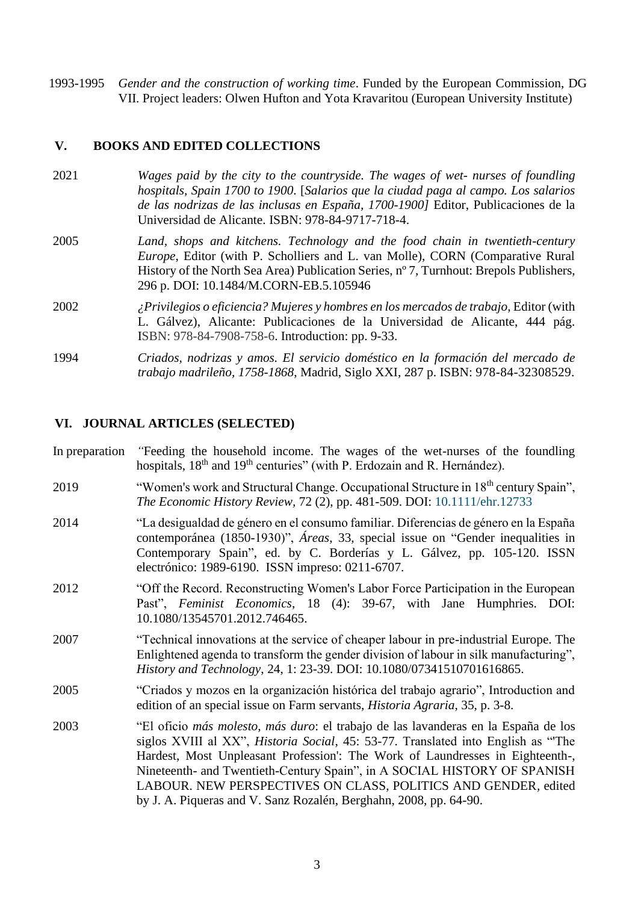1993-1995 *Gender and the construction of working time*. Funded by the European Commission, DG VII. Project leaders: Olwen Hufton and Yota Kravaritou (European University Institute)

#### **V. BOOKS AND EDITED COLLECTIONS**

- 2021 *Wages paid by the city to the countryside. The wages of wet- nurses of foundling hospitals, Spain 1700 to 1900*. [*Salarios que la ciudad paga al campo. Los salarios de las nodrizas de las inclusas en España, 1700-1900]* Editor, Publicaciones de la Universidad de Alicante. ISBN: 978-84-9717-718-4.
- 2005 *Land, shops and kitchens. Technology and the food chain in twentieth-century Europe*, Editor (with P. Scholliers and L. van Molle), CORN (Comparative Rural History of the North Sea Area) Publication Series, n° 7, Turnhout: Brepols Publishers, 296 p. DOI: 10.1484/M.CORN-EB.5.105946
- 2002 *¿Privilegios o eficiencia? Mujeres y hombres en los mercados de trabajo*, Editor (with L. Gálvez), Alicante: Publicaciones de la Universidad de Alicante, 444 pág. ISBN: 978-84-7908-758-6. Introduction: pp. 9-33.
- 1994 *Criados, nodrizas y amos. El servicio doméstico en la formación del mercado de trabajo madrileño, 1758-1868*, Madrid, Siglo XXI, 287 p. ISBN: 978-84-32308529.

#### **VI. JOURNAL ARTICLES (SELECTED)**

- In preparation *"*Feeding the household income. The wages of the wet-nurses of the foundling hospitals, 18<sup>th</sup> and 19<sup>th</sup> centuries" (with P. Erdozain and R. Hernández).
- 2019 "Women's work and Structural Change. Occupational Structure in 18<sup>th</sup> century Spain", *The Economic History Review,* 72 (2), pp. 481-509. [DOI: 10.1111/ehr.12733](https://doi.org/10.1111/ehr.12733)
- 2014 "La desigualdad de género en el consumo familiar. Diferencias de género en la España contemporánea (1850-1930)", *Áreas*, 33, special issue on "Gender inequalities in Contemporary Spain", ed. by C. Borderías y L. Gálvez, pp. 105-120. ISSN electrónico: 1989-6190. ISSN impreso: 0211-6707.
- 2012 "Off the Record. Reconstructing Women's Labor Force Participation in the European Past", *Feminist Economics*, 18 (4): 39-67, with Jane Humphries. DOI: 10.1080/13545701.2012.746465.
- 2007 "Technical innovations at the service of cheaper labour in pre-industrial Europe. The Enlightened agenda to transform the gender division of labour in silk manufacturing", *History and Technology*, 24, 1: 23-39. DOI: 10.1080/07341510701616865.
- 2005 "Criados y mozos en la organización histórica del trabajo agrario", Introduction and edition of an special issue on Farm servants, *Historia Agraria*, 35, p. 3-8.
- 2003 "El oficio *más molesto, más duro*: el trabajo de las lavanderas en la España de los siglos XVIII al XX", *Historia Social*, 45: 53-77. Translated into English as "'The Hardest, Most Unpleasant Profession': The Work of Laundresses in Eighteenth-, Nineteenth- and Twentieth-Century Spain", in A SOCIAL HISTORY OF SPANISH LABOUR. NEW PERSPECTIVES ON CLASS, POLITICS AND GENDER*,* edited by J. A. Piqueras and V. Sanz Rozalén, Berghahn, 2008, pp. 64-90.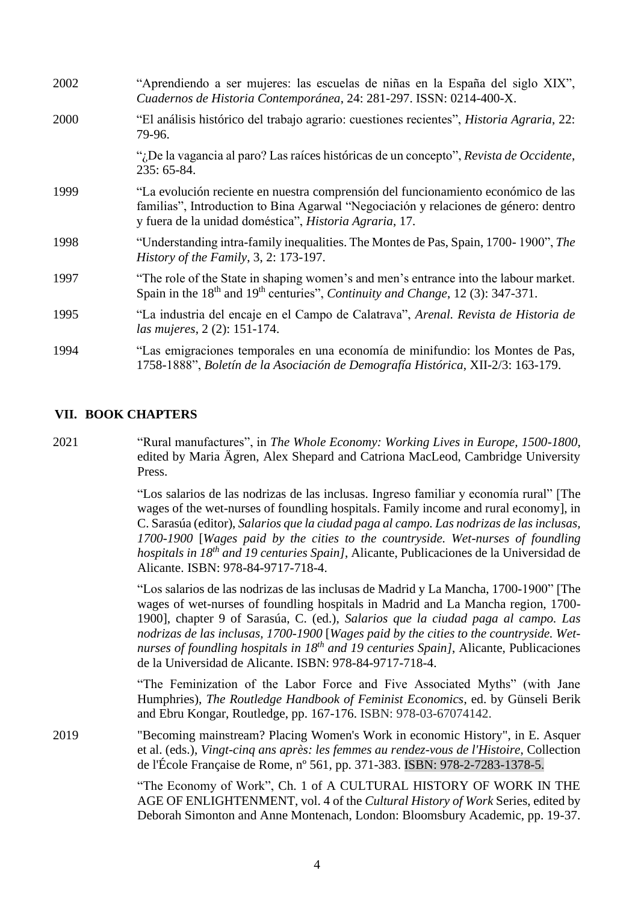| 2002 | "Aprendiendo a ser mujeres: las escuelas de niñas en la España del siglo XIX",<br>Cuadernos de Historia Contemporánea, 24: 281-297. ISSN: 0214-400-X.                                                                              |
|------|------------------------------------------------------------------------------------------------------------------------------------------------------------------------------------------------------------------------------------|
| 2000 | "El análisis histórico del trabajo agrario: cuestiones recientes", <i>Historia Agraria</i> , 22:<br>79-96.                                                                                                                         |
|      | "¿De la vagancia al paro? Las raíces históricas de un concepto", Revista de Occidente,<br>235: 65-84.                                                                                                                              |
| 1999 | "La evolución reciente en nuestra comprensión del funcionamiento económico de las<br>familias", Introduction to Bina Agarwal "Negociación y relaciones de género: dentro<br>y fuera de la unidad doméstica", Historia Agraria, 17. |
| 1998 | "Understanding intra-family inequalities. The Montes de Pas, Spain, 1700-1900", The<br>History of the Family, $3, 2: 173-197$ .                                                                                                    |
| 1997 | "The role of the State in shaping women's and men's entrance into the labour market.<br>Spain in the 18 <sup>th</sup> and 19 <sup>th</sup> centuries", <i>Continuity and Change</i> , 12 (3): 347-371.                             |
| 1995 | "La industria del encaje en el Campo de Calatrava", Arenal. Revista de Historia de<br>las mujeres, 2 (2): 151-174.                                                                                                                 |
| 1994 | "Las emigraciones temporales en una economía de minifundio: los Montes de Pas,<br>1758-1888", Boletín de la Asociación de Demografía Histórica, XII-2/3: 163-179.                                                                  |

#### **VII. BOOK CHAPTERS**

2021 "Rural manufactures", in *The Whole Economy: Working Lives in Europe, 1500-1800*, edited by Maria Ägren, Alex Shepard and Catriona MacLeod, Cambridge University Press.

> "Los salarios de las nodrizas de las inclusas. Ingreso familiar y economía rural" [The wages of the wet-nurses of foundling hospitals. Family income and rural economy], in C. Sarasúa (editor), *Salarios que la ciudad paga al campo. Las nodrizas de las inclusas, 1700-1900* [*Wages paid by the cities to the countryside. Wet-nurses of foundling hospitals in 18th and 19 centuries Spain]*, Alicante, Publicaciones de la Universidad de Alicante. ISBN: 978-84-9717-718-4.

> "Los salarios de las nodrizas de las inclusas de Madrid y La Mancha, 1700-1900" [The wages of wet-nurses of foundling hospitals in Madrid and La Mancha region, 1700- 1900], chapter 9 of Sarasúa, C. (ed.), *Salarios que la ciudad paga al campo. Las nodrizas de las inclusas, 1700-1900* [*Wages paid by the cities to the countryside. Wetnurses of foundling hospitals in 18th and 19 centuries Spain]*, Alicante, Publicaciones de la Universidad de Alicante. ISBN: 978-84-9717-718-4.

> "The Feminization of the Labor Force and Five Associated Myths" (with Jane Humphries), *The Routledge Handbook of Feminist Economics*, ed. by Günseli Berik and Ebru Kongar, Routledge, pp. 167-176. ISBN: 978-03-67074142.

2019 "Becoming mainstream? Placing Women's Work in economic History", in E. Asquer et al. (eds.), *Vingt-cinq ans après: les femmes au rendez-vous de l'Histoire*, Collection de l'École Française de Rome, nº 561, pp. 371-383. ISBN: 978-2-7283-1378-5.

> "The Economy of Work", Ch. 1 of A CULTURAL HISTORY OF WORK IN THE AGE OF ENLIGHTENMENT, vol. 4 of the *Cultural History of Work* Series, edited by Deborah Simonton and Anne Montenach, London: Bloomsbury Academic, pp. 19-37.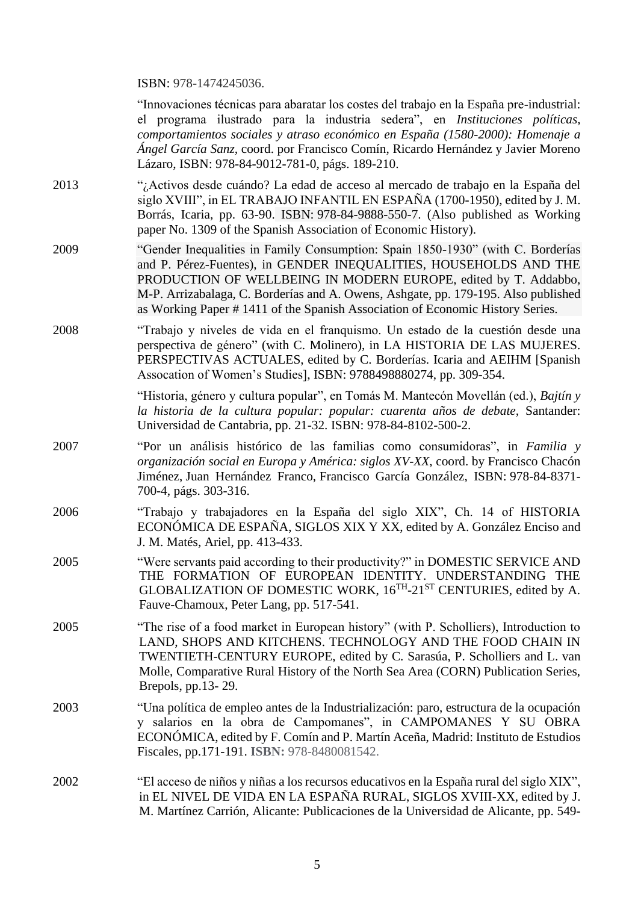ISBN: 978-1474245036.

"Innovaciones técnicas para abaratar los costes del trabajo en la España pre-industrial: el programa ilustrado para la industria sedera", en *Instituciones políticas, comportamientos sociales y atraso económico en España (1580-2000): Homenaje a Ángel García Sanz,* coord. por Francisco Comín, Ricardo Hernández y Javier Moreno Lázaro, ISBN: 978-84-9012-781-0, págs. 189-210.

- 2013 "¿Activos desde cuándo? La edad de acceso al mercado de trabajo en la España del siglo XVIII", in EL TRABAJO INFANTIL EN ESPAÑA (1700-1950), edited by J. M. Borrás, Icaria, pp. 63-90. ISBN: 978-84-9888-550-7. (Also published as Working paper No. 1309 of the Spanish Association of Economic History).
- 2009 "Gender Inequalities in Family Consumption: Spain 1850-1930" (with C. Borderías and P. Pérez-Fuentes), in GENDER INEQUALITIES, HOUSEHOLDS AND THE PRODUCTION OF WELLBEING IN MODERN EUROPE, edited by T. Addabbo, M-P. Arrizabalaga, C. Borderías and A. Owens, Ashgate, pp. 179-195. Also published as Working Paper # 1411 of the Spanish Association of Economic History Series.
- 2008 "Trabajo y niveles de vida en el franquismo. Un estado de la cuestión desde una perspectiva de género" (with C. Molinero), in LA HISTORIA DE LAS MUJERES. PERSPECTIVAS ACTUALES, edited by C. Borderías. Icaria and AEIHM [Spanish Assocation of Women's Studies], ISBN: 9788498880274, pp. 309-354.

"Historia, género y cultura popular", en Tomás M. Mantecón Movellán (ed.), *Bajtín y la historia de la cultura popular: popular: cuarenta años de debate,* Santander: Universidad de Cantabria, pp. 21-32. ISBN: 978-84-8102-500-2.

- 2007 "Por un análisis histórico de las familias como consumidoras", in *[Familia](https://dialnet.unirioja.es/servlet/libro?codigo=397923) y [organización](https://dialnet.unirioja.es/servlet/libro?codigo=397923) social en Europa y América: siglos XV-XX*, coord. by [Francisco](https://dialnet.unirioja.es/servlet/autor?codigo=107942) Chacón [Jiménez,](https://dialnet.unirioja.es/servlet/autor?codigo=107942) Juan [Hernández](https://dialnet.unirioja.es/servlet/autor?codigo=9353) Franco, Francisco García [González,](https://dialnet.unirioja.es/servlet/autor?codigo=9464) ISBN: 978-84-8371- 700-4, págs. 303-316.
- 2006 "Trabajo y trabajadores en la España del siglo XIX", Ch. 14 of HISTORIA ECONÓMICA DE ESPAÑA, SIGLOS XIX Y XX, edited by A. González Enciso and J. M. Matés, Ariel, pp. 413-433.
- 2005 "Were servants paid according to their productivity?" in DOMESTIC SERVICE AND THE FORMATION OF EUROPEAN IDENTITY. UNDERSTANDING THE GLOBALIZATION OF DOMESTIC WORK,  $16^{TH}-21^{ST}$  CENTURIES, edited by A. Fauve-Chamoux, Peter Lang, pp. 517-541.
- 2005 "The rise of a food market in European history" (with P. Scholliers), Introduction to LAND, SHOPS AND KITCHENS. TECHNOLOGY AND THE FOOD CHAIN IN TWENTIETH-CENTURY EUROPE, edited by C. Sarasúa, P. Scholliers and L. van Molle, Comparative Rural History of the North Sea Area (CORN) Publication Series, Brepols, pp.13- 29.
- 2003 "Una política de empleo antes de la Industrialización: paro, estructura de la ocupación y salarios en la obra de Campomanes", in CAMPOMANES Y SU OBRA ECONÓMICA, edited by F. Comín and P. Martín Aceña, Madrid: Instituto de Estudios Fiscales, pp.171-191. **ISBN:** 978-8480081542.
- 2002 "El acceso de niños y niñas a los recursos educativos en la España rural del siglo XIX", in EL NIVEL DE VIDA EN LA ESPAÑA RURAL, SIGLOS XVIII-XX, edited by J. M. Martínez Carrión, Alicante: Publicaciones de la Universidad de Alicante, pp. 549-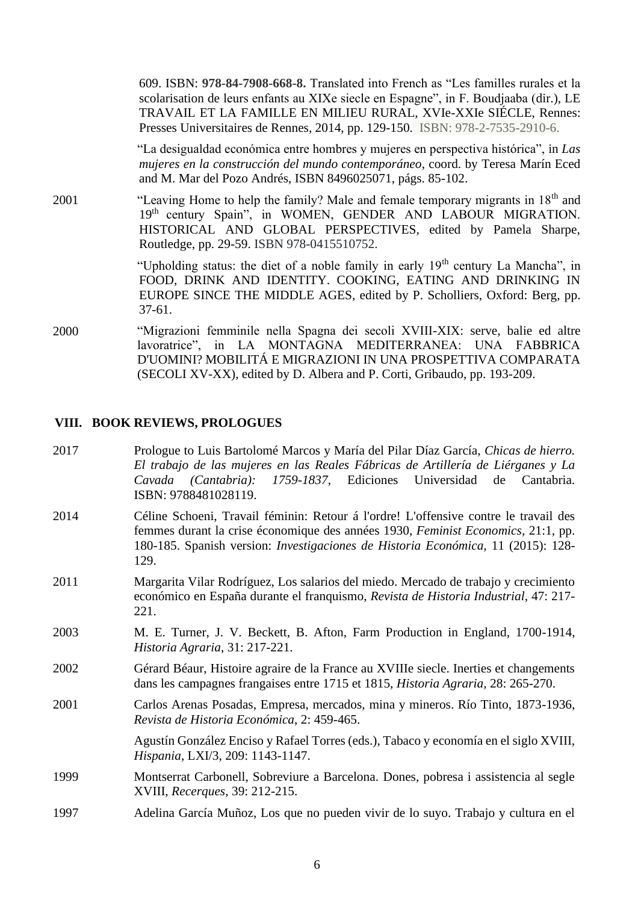609. ISBN: **978-84-7908-668-8.** Translated into French as "Les familles rurales et la scolarisation de leurs enfants au XIXe siecle en Espagne", in F. Boudjaaba (dir.), LE TRAVAIL ET LA FAMILLE EN MILIEU RURAL, XVIe-XXIe SIÉCLE, Rennes: Presses Universitaires de Rennes, 2014, pp. 129-150. ISBN: 978-2-7535-2910-6.

"La desigualdad económica entre hombres y mujeres en perspectiva histórica", in *Las mujeres en la construcción del mundo contemporáneo*, coord. by Teresa Marín Eced and M. Mar del Pozo Andrés, ISBN 8496025071, págs. 85-102.

2001 "Leaving Home to help the family? Male and female temporary migrants in 18th and 19<sup>th</sup> century Spain", in WOMEN, GENDER AND LABOUR MIGRATION. HISTORICAL AND GLOBAL PERSPECTIVES, edited by Pamela Sharpe, Routledge, pp. 29-59. ISBN 978-0415510752.

> "Upholding status: the diet of a noble family in early  $19<sup>th</sup>$  century La Mancha", in FOOD, DRINK AND IDENTITY. COOKING, EATING AND DRINKING IN EUROPE SINCE THE MIDDLE AGES, edited by P. Scholliers, Oxford: Berg, pp. 37-61.

2000 "Migrazioni femminile nella Spagna dei secoli XVIII-XIX: serve, balie ed altre lavoratrice", in LA MONTAGNA MEDITERRANEA: UNA FABBRICA D'UOMINI? MOBILITÁ E MIGRAZIONI IN UNA PROSPETTIVA COMPARATA (SECOLI XV-XX), edited by D. Albera and P. Corti, Gribaudo, pp. 193-209.

#### **VIII. BOOK REVIEWS, PROLOGUES**

| 2017 | Prologue to Luis Bartolomé Marcos y María del Pilar Díaz García, Chicas de hierro.         |
|------|--------------------------------------------------------------------------------------------|
|      | El trabajo de las mujeres en las Reales Fábricas de Artillería de Liérganes y La           |
|      | Cavada (Cantabria): 1759-1837, Ediciones Universidad de Cantabria.<br>ISBN: 9788481028119. |
| 2014 | Cóline Schooni, Trovail fóminin: Deteur ó l'ordrel L'offensive contre la trevail des       |

- 2014 Céline Schoeni, Travail féminin: Retour á l'ordre! L'offensive contre le travail des femmes durant la crise économique des années 1930, *Feminist Economics,* 21:1, pp. 180-185. Spanish version: *Investigaciones de Historia Económica,* 11 (2015): 128- 129.
- 2011 Margarita Vilar Rodríguez, Los salarios del miedo. Mercado de trabajo y crecimiento económico en España durante el franquismo, *Revista de Historia Industrial,* 47: 217- 221.
- 2003 M. E. Turner, J. V. Beckett, B. Afton, Farm Production in England, 1700-1914, *Historia Agraria*, 31: 217-221.
- 2002 Gérard Béaur, Histoire agraire de la France au XVIIIe siecle. Inerties et changements dans les campagnes frangaises entre 1715 et 1815, *Historia Agraria,* 28: 265-270.
- 2001 Carlos Arenas Posadas, Empresa, mercados, mina y mineros. Río Tinto, 1873-1936, *Revista de Historia Económica*, 2: 459-465.

Agustín González Enciso y Rafael Torres (eds.), Tabaco y economía en el siglo XVIII, *Hispania*, LXI/3, 209: 1143-1147.

- 1999 Montserrat Carbonell, Sobreviure a Barcelona. Dones, pobresa i assistencia al segle XVIII, *Recerques*, 39: 212-215.
- 1997 Adelina García Muñoz, Los que no pueden vivir de lo suyo. Trabajo y cultura en el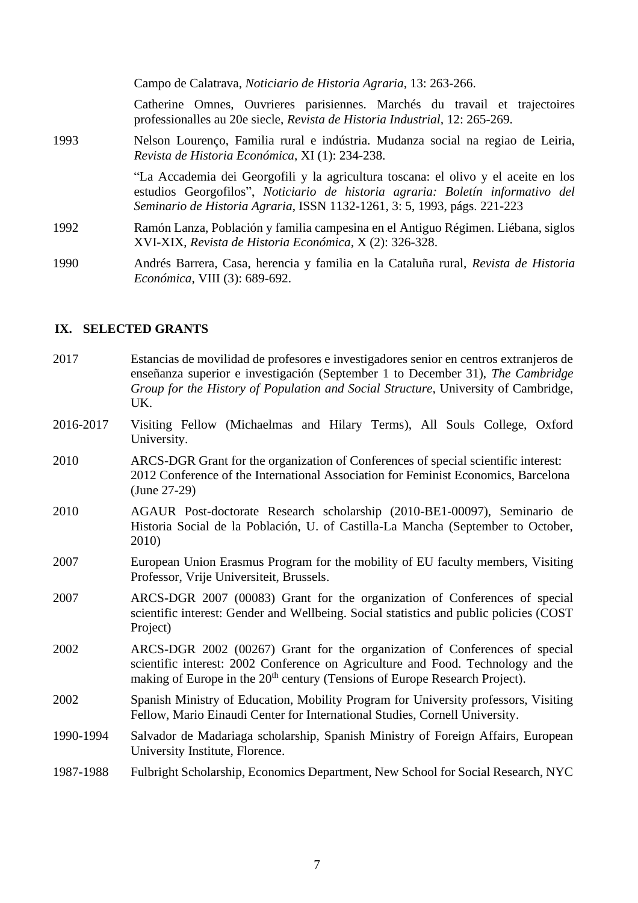|      | Campo de Calatrava, Noticiario de Historia Agraria, 13: 263-266.                                                                                                                                                                                 |
|------|--------------------------------------------------------------------------------------------------------------------------------------------------------------------------------------------------------------------------------------------------|
|      | Catherine Omnes, Ouvrieres parisiennes. Marchés du travail et trajectoires<br>professionalles au 20e siecle, Revista de Historia Industrial, 12: 265-269.                                                                                        |
| 1993 | Nelson Lourenço, Familia rural e indústria. Mudanza social na regiao de Leiria,<br>Revista de Historia Económica, XI (1): 234-238.                                                                                                               |
|      | "La Accademia dei Georgofili y la agricultura toscana: el olivo y el aceite en los<br>estudios Georgofilos", Noticiario de historia agraria: Boletín informativo del<br>Seminario de Historia Agraria, ISSN 1132-1261, 3: 5, 1993, págs. 221-223 |
| 1992 | Ramón Lanza, Población y familia campesina en el Antiguo Régimen. Liébana, siglos<br>XVI-XIX, Revista de Historia Económica, X (2): 326-328.                                                                                                     |
| 1990 | Andrés Barrera, Casa, herencia y familia en la Cataluña rural, Revista de Historia<br>Económica, VIII (3): 689-692.                                                                                                                              |

#### **IX. SELECTED GRANTS**

- 2017 Estancias de movilidad de profesores e investigadores senior en centros extranjeros de enseñanza superior e investigación (September 1 to December 31), *The Cambridge Group for the History of Population and Social Structure,* University of Cambridge, UK.
- 2016-2017 Visiting Fellow (Michaelmas and Hilary Terms), All Souls College, Oxford University.
- 2010 ARCS-DGR Grant for the organization of Conferences of special scientific interest: 2012 Conference of the International Association for Feminist Economics, Barcelona (June 27-29)
- 2010 AGAUR Post-doctorate Research scholarship (2010-BE1-00097), Seminario de Historia Social de la Población, U. of Castilla-La Mancha (September to October, 2010)
- 2007 European Union Erasmus Program for the mobility of EU faculty members, Visiting Professor, Vrije Universiteit, Brussels.
- 2007 ARCS-DGR 2007 (00083) Grant for the organization of Conferences of special scientific interest: Gender and Wellbeing. Social statistics and public policies (COST Project)
- 2002 ARCS-DGR 2002 (00267) Grant for the organization of Conferences of special scientific interest: 2002 Conference on Agriculture and Food. Technology and the making of Europe in the 20<sup>th</sup> century (Tensions of Europe Research Project).
- 2002 Spanish Ministry of Education, Mobility Program for University professors, Visiting Fellow, Mario Einaudi Center for International Studies, Cornell University.
- 1990-1994 Salvador de Madariaga scholarship, Spanish Ministry of Foreign Affairs, European University Institute, Florence.
- 1987-1988 Fulbright Scholarship, Economics Department, New School for Social Research, NYC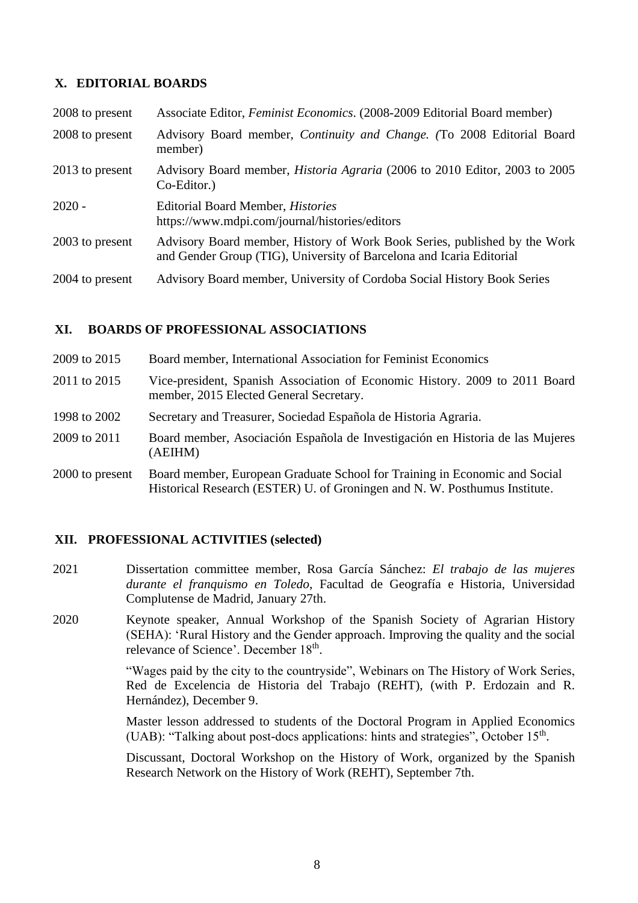## **X. EDITORIAL BOARDS**

| 2008 to present | Associate Editor, Feminist Economics. (2008-2009 Editorial Board member)                                                                          |
|-----------------|---------------------------------------------------------------------------------------------------------------------------------------------------|
| 2008 to present | Advisory Board member, <i>Continuity and Change.</i> (To 2008 Editorial Board<br>member)                                                          |
| 2013 to present | Advisory Board member, <i>Historia Agraria</i> (2006 to 2010 Editor, 2003 to 2005<br>Co-Editor.)                                                  |
| $2020 -$        | <b>Editorial Board Member, Histories</b><br>https://www.mdpi.com/journal/histories/editors                                                        |
| 2003 to present | Advisory Board member, History of Work Book Series, published by the Work<br>and Gender Group (TIG), University of Barcelona and Icaria Editorial |
| 2004 to present | Advisory Board member, University of Cordoba Social History Book Series                                                                           |

### **XI. BOARDS OF PROFESSIONAL ASSOCIATIONS**

| 2009 to 2015    | Board member, International Association for Feminist Economics                                                                                           |
|-----------------|----------------------------------------------------------------------------------------------------------------------------------------------------------|
| 2011 to 2015    | Vice-president, Spanish Association of Economic History. 2009 to 2011 Board<br>member, 2015 Elected General Secretary.                                   |
| 1998 to 2002    | Secretary and Treasurer, Sociedad Española de Historia Agraria.                                                                                          |
| 2009 to 2011    | Board member, Asociación Española de Investigación en Historia de las Mujeres<br>(AEIHM)                                                                 |
| 2000 to present | Board member, European Graduate School for Training in Economic and Social<br>Historical Research (ESTER) U. of Groningen and N. W. Posthumus Institute. |

#### **XII. PROFESSIONAL ACTIVITIES (selected)**

- 2021 Dissertation committee member, Rosa García Sánchez: *El trabajo de las mujeres durante el franquismo en Toledo*, Facultad de Geografía e Historia, Universidad Complutense de Madrid, January 27th.
- 2020 Keynote speaker, Annual Workshop of the Spanish Society of Agrarian History (SEHA): 'Rural History and the Gender approach. Improving the quality and the social relevance of Science'. December 18<sup>th</sup>.

"Wages paid by the city to the countryside", Webinars on The History of Work Series, Red de Excelencia de Historia del Trabajo (REHT), (with P. Erdozain and R. Hernández), December 9.

Master lesson addressed to students of the Doctoral Program in Applied Economics (UAB): "Talking about post-docs applications: hints and strategies", October 15<sup>th</sup>.

Discussant, Doctoral Workshop on the History of Work, organized by the Spanish Research Network on the History of Work (REHT), September 7th.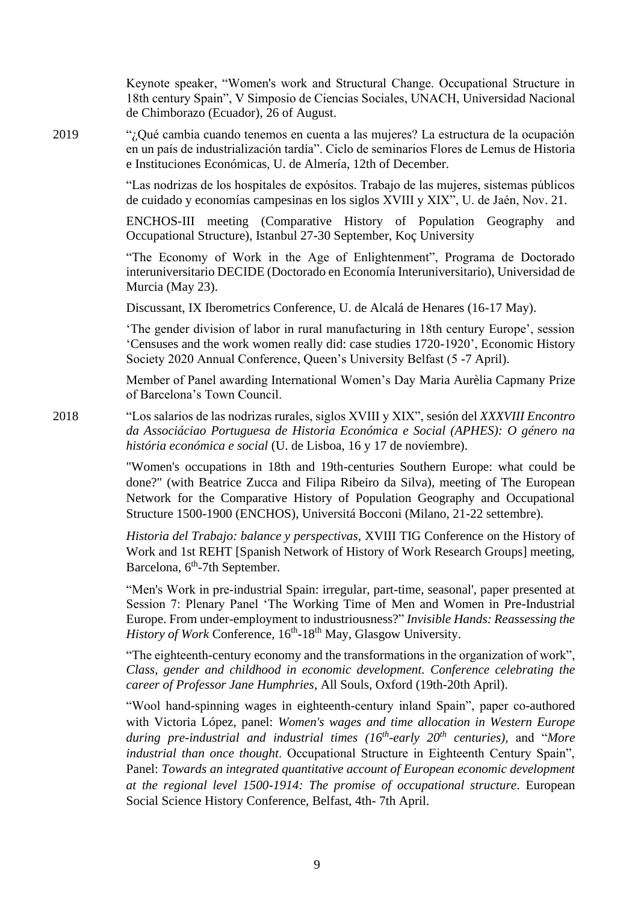Keynote speaker, "Women's work and Structural Change. Occupational Structure in 18th century Spain", V Simposio de Ciencias Sociales, UNACH, Universidad Nacional de Chimborazo (Ecuador), 26 of August.

2019 "¿Qué cambia cuando tenemos en cuenta a las mujeres? La estructura de la ocupación en un país de industrialización tardía". Ciclo de seminarios Flores de Lemus de Historia e Instituciones Económicas, U. de Almería, 12th of December.

> "Las nodrizas de los hospitales de expósitos. Trabajo de las mujeres, sistemas públicos de cuidado y economías campesinas en los siglos XVIII y XIX", U. de Jaén, Nov. 21.

> ENCHOS-III meeting (Comparative History of Population Geography and Occupational Structure), Istanbul 27-30 September, Koç University

> "The Economy of Work in the Age of Enlightenment", Programa de Doctorado interuniversitario DECIDE (Doctorado en Economía Interuniversitario), Universidad de Murcia (May 23).

Discussant, IX Iberometrics Conference, U. de Alcalá de Henares (16-17 May).

'The gender division of labor in rural manufacturing in 18th century Europe', session 'Censuses and the work women really did: case studies 1720-1920', Economic History Society 2020 Annual Conference, Queen's University Belfast (5 -7 April).

Member of Panel awarding International Women's Day Maria Aurèlia Capmany Prize of Barcelona's Town Council.

2018 "Los salarios de las nodrizas rurales, siglos XVIII y XIX", sesión del *XXXVIII Encontro da Associáciao [Portuguesa de Historia Económica e Soci](https://www.aphes.pt/)al (APHES): O género na história económica e social* (U. de Lisboa, 16 y 17 de noviembre).

> "Women's occupations in 18th and 19th-centuries Southern Europe: what could be done?" (with Beatrice Zucca and Filipa Ribeiro da Silva), meeting of The European Network for the Comparative History of Population Geography and Occupational Structure 1500-1900 (ENCHOS), Universitá Bocconi (Milano, 21-22 settembre).

> *Historia del Trabajo: balance y perspectivas,* XVIII TIG Conference on the History of Work and 1st REHT [Spanish Network of History of Work Research Groups] meeting, Barcelona, 6<sup>th</sup>-7th September.

> "Men's Work in pre-industrial Spain: irregular, part-time, seasonal', paper presented at Session 7: Plenary Panel 'The Working Time of Men and Women in Pre-Industrial Europe. From under-employment to industriousness?" *Invisible Hands: Reassessing the* History of Work Conference, 16<sup>th</sup>-18<sup>th</sup> May, Glasgow University.

> "The eighteenth-century economy and the transformations in the organization of work", *Class, gender and childhood in economic development. Conference celebrating the career of Professor Jane Humphries*, All Souls, Oxford (19th-20th April).

> "Wool hand-spinning wages in eighteenth-century inland Spain", paper co-authored with Victoria López, panel: *Women's wages and time allocation in Western Europe during pre-industrial and industrial times (16th -early 20th centuries),* and "*More industrial than once thought*. Occupational Structure in Eighteenth Century Spain", Panel: *Towards an integrated quantitative account of European economic development at the regional level 1500-1914: The promise of occupational structure*. European Social Science History Conference, Belfast, 4th- 7th April.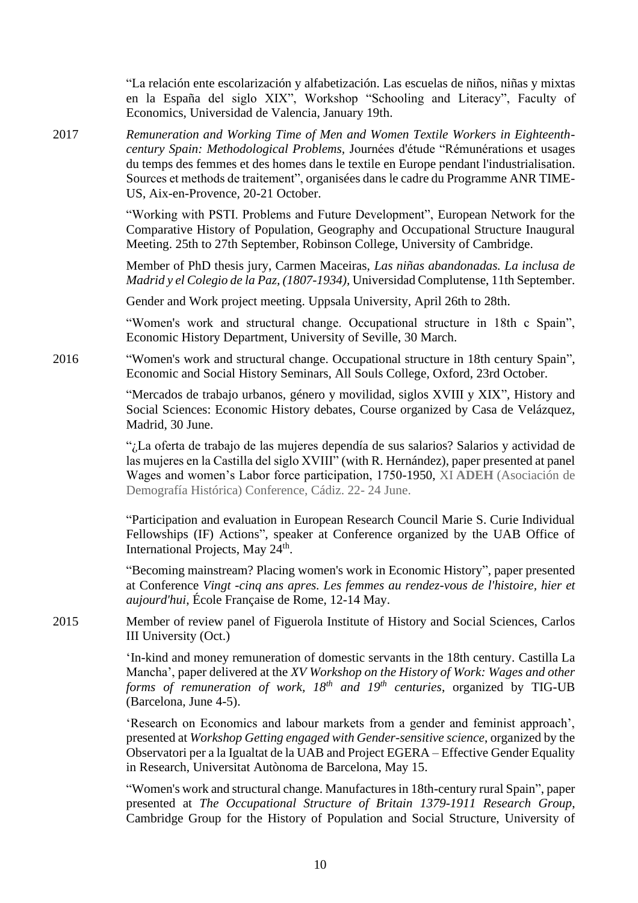"La relación ente escolarización y alfabetización. Las escuelas de niños, niñas y mixtas en la España del siglo XIX", Workshop "Schooling and Literacy", Faculty of Economics, Universidad de Valencia, January 19th.

2017 *Remuneration and Working Time of Men and Women Textile Workers in Eighteenthcentury Spain: Methodological Problems,* Journées d'étude "Rémunérations et usages du temps des femmes et des homes dans le textile en Europe pendant l'industrialisation. Sources et methods de traitement", organisées dans le cadre du Programme ANR TIME-US, Aix-en-Provence, 20-21 October.

> "Working with PSTI. Problems and Future Development", European Network for the Comparative History of Population, Geography and Occupational Structure Inaugural Meeting. 25th to 27th September, Robinson College, University of Cambridge.

> Member of PhD thesis jury, Carmen Maceiras, *Las niñas abandonadas. La inclusa de Madrid y el Colegio de la Paz, (1807-1934),* Universidad Complutense, 11th September.

Gender and Work project meeting. Uppsala University, April 26th to 28th.

"Women's work and structural change. Occupational structure in 18th c Spain", Economic History Department, University of Seville, 30 March.

2016 "Women's work and structural change. Occupational structure in 18th century Spain", Economic and Social History Seminars, All Souls College, Oxford, 23rd October.

> "Mercados de trabajo urbanos, género y movilidad, siglos XVIII y XIX", History and Social Sciences: Economic History debates, Course organized by Casa de Velázquez, Madrid, 30 June.

> "¿La oferta de trabajo de las mujeres dependía de sus salarios? Salarios y actividad de las mujeres en la Castilla del siglo XVIII" (with R. Hernández), paper presented at panel Wages and women's Labor force participation, 1750-1950, XI **ADEH** (Asociación de Demografía Histórica) Conference, Cádiz. 22- 24 June.

> "Participation and evaluation in European Research Council Marie S. Curie Individual Fellowships (IF) Actions", speaker at Conference organized by the UAB Office of International Projects, May 24<sup>th</sup>.

> "Becoming mainstream? Placing women's work in Economic History", paper presented at Conference *Vingt -cinq ans apres. Les femmes au rendez-vous de l'histoire, hier et aujourd'hui*, École Française de Rome, 12-14 May.

2015 Member of review panel of Figuerola Institute of History and Social Sciences, Carlos III University (Oct.)

> 'In-kind and money remuneration of domestic servants in the 18th century. Castilla La Mancha', paper delivered at the *XV Workshop on the History of Work: Wages and other forms of remuneration of work, 18th and 19th centuries*, organized by TIG-UB (Barcelona, June 4-5).

> 'Research on Economics and labour markets from a gender and feminist approach', presented at *Workshop Getting engaged with Gender-sensitive science*, organized by the Observatori per a la Igualtat de la UAB and Project EGERA – Effective Gender Equality in Research, Universitat Autònoma de Barcelona, May 15.

> "Women's work and structural change. Manufactures in 18th-century rural Spain", paper presented at *The Occupational Structure of Britain 1379-1911 Research Group*, Cambridge Group for the History of Population and Social Structure, University of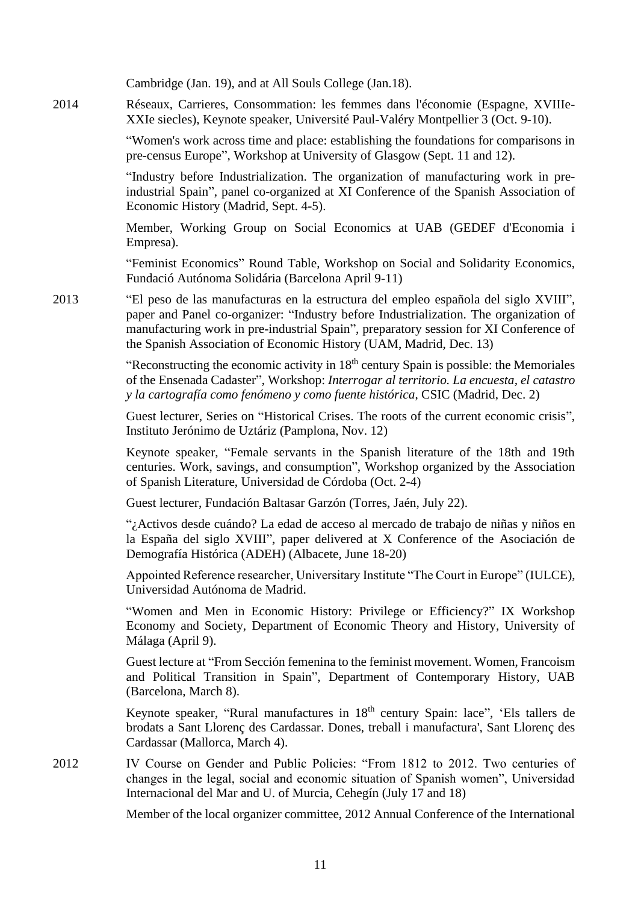Cambridge (Jan. 19), and at All Souls College (Jan.18).

2014 Réseaux, Carrieres, Consommation: les femmes dans l'économie (Espagne, XVIIIe-XXIe siecles), Keynote speaker, Université Paul-Valéry Montpellier 3 (Oct. 9-10).

> "Women's work across time and place: establishing the foundations for comparisons in pre-census Europe", Workshop at University of Glasgow (Sept. 11 and 12).

> "Industry before Industrialization. The organization of manufacturing work in preindustrial Spain", panel co-organized at XI Conference of the Spanish Association of Economic History (Madrid, Sept. 4-5).

> Member, Working Group on Social Economics at UAB (GEDEF d'Economia i Empresa).

> "Feminist Economics" Round Table, Workshop on Social and Solidarity Economics, Fundació Autónoma Solidária (Barcelona April 9-11)

2013 "El peso de las manufacturas en la estructura del empleo española del siglo XVIII", paper and Panel co-organizer: "Industry before Industrialization. The organization of manufacturing work in pre-industrial Spain", preparatory session for XI Conference of the Spanish Association of Economic History (UAM, Madrid, Dec. 13)

> "Reconstructing the economic activity in  $18<sup>th</sup>$  century Spain is possible: the Memoriales of the Ensenada Cadaster", Workshop: *Interrogar al territorio. La encuesta, el catastro y la cartografía como fenómeno y como fuente histórica*, CSIC (Madrid, Dec. 2)

> Guest lecturer, Series on "Historical Crises. The roots of the current economic crisis", Instituto Jerónimo de Uztáriz (Pamplona, Nov. 12)

> Keynote speaker, "Female servants in the Spanish literature of the 18th and 19th centuries. Work, savings, and consumption", Workshop organized by the Association of Spanish Literature, Universidad de Córdoba (Oct. 2-4)

Guest lecturer, Fundación Baltasar Garzón (Torres, Jaén, July 22).

"¿Activos desde cuándo? La edad de acceso al mercado de trabajo de niñas y niños en la España del siglo XVIII", paper delivered at X Conference of the Asociación de Demografía Histórica (ADEH) (Albacete, June 18-20)

Appointed Reference researcher, Universitary Institute "The Court in Europe" (IULCE), Universidad Autónoma de Madrid.

"Women and Men in Economic History: Privilege or Efficiency?" IX Workshop Economy and Society, Department of Economic Theory and History, University of Málaga (April 9).

Guest lecture at "From Sección femenina to the feminist movement. Women, Francoism and Political Transition in Spain", Department of Contemporary History, UAB (Barcelona, March 8).

Keynote speaker, "Rural manufactures in 18<sup>th</sup> century Spain: lace", 'Els tallers de brodats a Sant Llorenç des Cardassar. Dones, treball i manufactura', Sant Llorenç des Cardassar (Mallorca, March 4).

2012 IV Course on Gender and Public Policies: "From 1812 to 2012. Two centuries of changes in the legal, social and economic situation of Spanish women", Universidad Internacional del Mar and U. of Murcia, Cehegín (July 17 and 18)

Member of the local organizer committee, 2012 Annual Conference of the International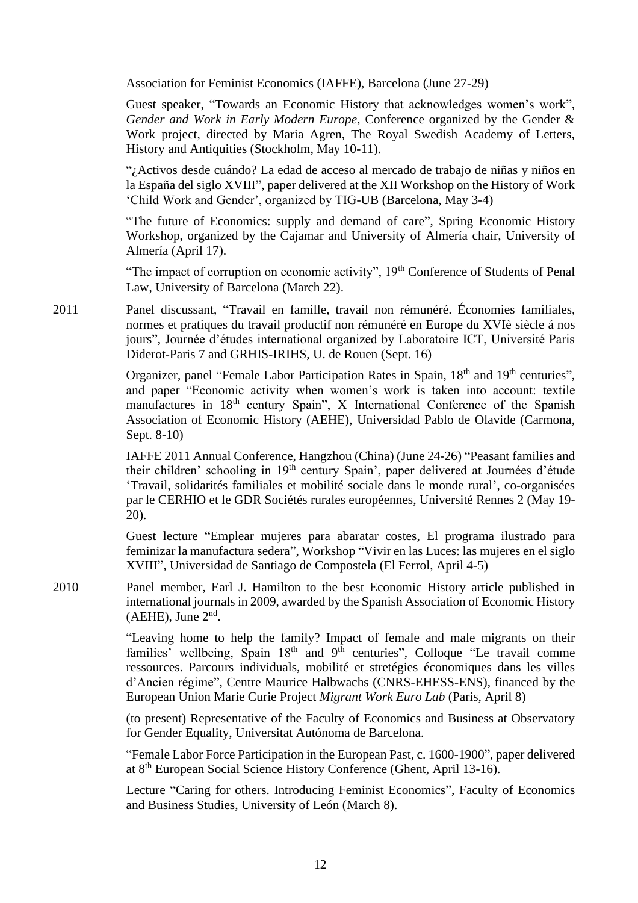Association for Feminist Economics (IAFFE), Barcelona (June 27-29)

Guest speaker, "Towards an Economic History that acknowledges women's work", *Gender and Work in Early Modern Europe,* Conference organized by the Gender & Work project, directed by Maria Agren, The Royal Swedish Academy of Letters, History and Antiquities (Stockholm, May 10-11).

"¿Activos desde cuándo? La edad de acceso al mercado de trabajo de niñas y niños en la España del siglo XVIII", paper delivered at the XII Workshop on the History of Work 'Child Work and Gender', organized by TIG-UB (Barcelona, May 3-4)

"The future of Economics: supply and demand of care", Spring Economic History Workshop, organized by the Cajamar and University of Almería chair, University of Almería (April 17).

"The impact of corruption on economic activity", 19<sup>th</sup> Conference of Students of Penal Law, University of Barcelona (March 22).

2011 Panel discussant, "Travail en famille, travail non rémunéré. Économies familiales, normes et pratiques du travail productif non rémunéré en Europe du XVIè siècle á nos jours", Journée d'études international organized by Laboratoire ICT, Université Paris Diderot-Paris 7 and GRHIS-IRIHS, U. de Rouen (Sept. 16)

> Organizer, panel "Female Labor Participation Rates in Spain, 18<sup>th</sup> and 19<sup>th</sup> centuries", and paper "Economic activity when women's work is taken into account: textile manufactures in 18<sup>th</sup> century Spain", X International Conference of the Spanish Association of Economic History (AEHE), Universidad Pablo de Olavide (Carmona, Sept. 8-10)

> IAFFE 2011 Annual Conference, Hangzhou (China) (June 24-26) "Peasant families and their children' schooling in 19<sup>th</sup> century Spain', paper delivered at Journées d'étude 'Travail, solidarités familiales et mobilité sociale dans le monde rural', co-organisées par le CERHIO et le GDR Sociétés rurales européennes, Université Rennes 2 (May 19- 20).

> Guest lecture "Emplear mujeres para abaratar costes, El programa ilustrado para feminizar la manufactura sedera", Workshop "Vivir en las Luces: las mujeres en el siglo XVIII", Universidad de Santiago de Compostela (El Ferrol, April 4-5)

2010 Panel member, Earl J. Hamilton to the best Economic History article published in international journals in 2009, awarded by the Spanish Association of Economic History  $(AEHE)$ , June  $2<sup>nd</sup>$ .

> "Leaving home to help the family? Impact of female and male migrants on their families' wellbeing, Spain  $18<sup>th</sup>$  and  $9<sup>th</sup>$  centuries", Colloque "Le travail comme ressources. Parcours individuals, mobilité et stretégies économiques dans les villes d'Ancien régime", Centre Maurice Halbwachs (CNRS-EHESS-ENS), financed by the European Union Marie Curie Project *Migrant Work Euro Lab* (Paris, April 8)

> (to present) Representative of the Faculty of Economics and Business at Observatory for Gender Equality, Universitat Autónoma de Barcelona.

> "Female Labor Force Participation in the European Past, c. 1600-1900", paper delivered at 8th European Social Science History Conference (Ghent, April 13-16).

> Lecture "Caring for others. Introducing Feminist Economics", Faculty of Economics and Business Studies, University of León (March 8).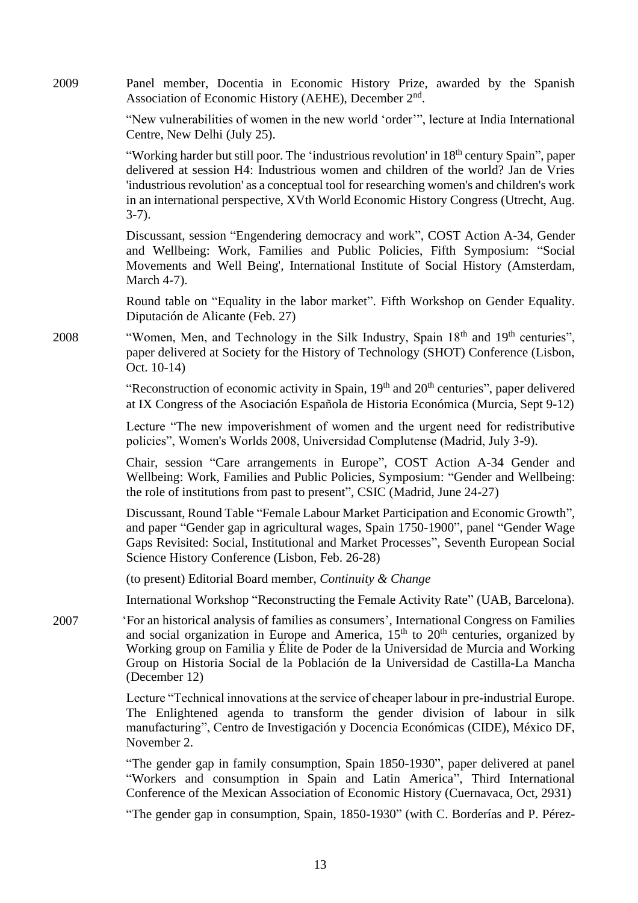2009 Panel member, Docentia in Economic History Prize, awarded by the Spanish Association of Economic History (AEHE), December 2<sup>nd</sup>.

> "New vulnerabilities of women in the new world 'order'", lecture at India International Centre, New Delhi (July 25).

> "Working harder but still poor. The 'industrious revolution' in 18<sup>th</sup> century Spain", paper delivered at session H4: Industrious women and children of the world? Jan de Vries 'industrious revolution' as a conceptual tool for researching women's and children's work in an international perspective, XVth World Economic History Congress (Utrecht, Aug. 3-7).

> Discussant, session "Engendering democracy and work", COST Action A-34, Gender and Wellbeing: Work, Families and Public Policies, Fifth Symposium: "Social Movements and Well Being', International Institute of Social History (Amsterdam, March 4-7).

> Round table on "Equality in the labor market". Fifth Workshop on Gender Equality. Diputación de Alicante (Feb. 27)

2008 "Women, Men, and Technology in the Silk Industry, Spain 18<sup>th</sup> and 19<sup>th</sup> centuries", paper delivered at Society for the History of Technology (SHOT) Conference (Lisbon, Oct. 10-14)

> "Reconstruction of economic activity in Spain,  $19<sup>th</sup>$  and  $20<sup>th</sup>$  centuries", paper delivered at IX Congress of the Asociación Española de Historia Económica (Murcia, Sept 9-12)

> Lecture "The new impoverishment of women and the urgent need for redistributive policies", Women's Worlds 2008, Universidad Complutense (Madrid, July 3-9).

> Chair, session "Care arrangements in Europe", COST Action A-34 Gender and Wellbeing: Work, Families and Public Policies, Symposium: "Gender and Wellbeing: the role of institutions from past to present", CSIC (Madrid, June 24-27)

> Discussant, Round Table "Female Labour Market Participation and Economic Growth", and paper "Gender gap in agricultural wages, Spain 1750-1900", panel "Gender Wage Gaps Revisited: Social, Institutional and Market Processes", Seventh European Social Science History Conference (Lisbon, Feb. 26-28)

(to present) Editorial Board member, *Continuity & Change*

International Workshop "Reconstructing the Female Activity Rate" (UAB, Barcelona).

2007 <sup>T</sup>For an historical analysis of families as consumers', International Congress on Families and social organization in Europe and America,  $15<sup>th</sup>$  to  $20<sup>th</sup>$  centuries, organized by Working group on Familia y Élite de Poder de la Universidad de Murcia and Working Group on Historia Social de la Población de la Universidad de Castilla-La Mancha (December 12)

> Lecture "Technical innovations at the service of cheaper labour in pre-industrial Europe. The Enlightened agenda to transform the gender division of labour in silk manufacturing", Centro de Investigación y Docencia Económicas (CIDE), México DF, November 2.

> "The gender gap in family consumption, Spain 1850-1930", paper delivered at panel "Workers and consumption in Spain and Latin America", Third International Conference of the Mexican Association of Economic History (Cuernavaca, Oct, 2931)

> "The gender gap in consumption, Spain, 1850-1930" (with C. Borderías and P. Pérez-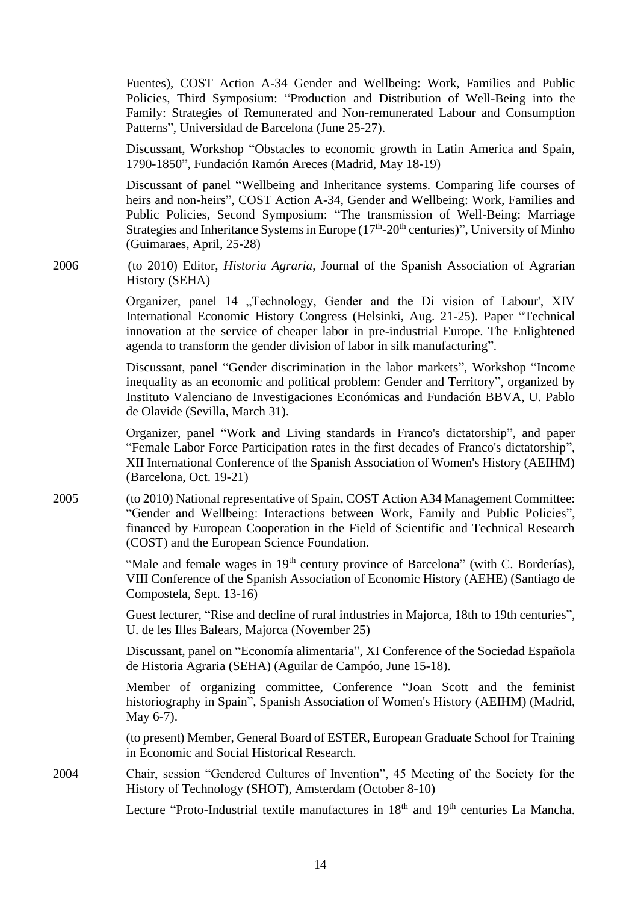Fuentes), COST Action A-34 Gender and Wellbeing: Work, Families and Public Policies, Third Symposium: "Production and Distribution of Well-Being into the Family: Strategies of Remunerated and Non-remunerated Labour and Consumption Patterns", Universidad de Barcelona (June 25-27).

Discussant, Workshop "Obstacles to economic growth in Latin America and Spain, 1790-1850", Fundación Ramón Areces (Madrid, May 18-19)

Discussant of panel "Wellbeing and Inheritance systems. Comparing life courses of heirs and non-heirs", COST Action A-34, Gender and Wellbeing: Work, Families and Public Policies, Second Symposium: "The transmission of Well-Being: Marriage Strategies and Inheritance Systems in Europe  $(17<sup>th</sup>-20<sup>th</sup>$  centuries)", University of Minho (Guimaraes, April, 25-28)

2006 (to 2010) Editor, *Historia Agraria*, Journal of the Spanish Association of Agrarian History (SEHA)

> Organizer, panel 14 "Technology, Gender and the Di vision of Labour', XIV International Economic History Congress (Helsinki, Aug. 21-25). Paper "Technical innovation at the service of cheaper labor in pre-industrial Europe. The Enlightened agenda to transform the gender division of labor in silk manufacturing".

> Discussant, panel "Gender discrimination in the labor markets", Workshop "Income inequality as an economic and political problem: Gender and Territory", organized by Instituto Valenciano de Investigaciones Económicas and Fundación BBVA, U. Pablo de Olavide (Sevilla, March 31).

> Organizer, panel "Work and Living standards in Franco's dictatorship", and paper "Female Labor Force Participation rates in the first decades of Franco's dictatorship", XII International Conference of the Spanish Association of Women's History (AEIHM) (Barcelona, Oct. 19-21)

2005 (to 2010) National representative of Spain, COST Action A34 Management Committee: "Gender and Wellbeing: Interactions between Work, Family and Public Policies", financed by European Cooperation in the Field of Scientific and Technical Research (COST) and the European Science Foundation.

> "Male and female wages in 19<sup>th</sup> century province of Barcelona" (with C. Borderías), VIII Conference of the Spanish Association of Economic History (AEHE) (Santiago de Compostela, Sept. 13-16)

> Guest lecturer, "Rise and decline of rural industries in Majorca, 18th to 19th centuries", U. de les Illes Balears, Majorca (November 25)

> Discussant, panel on "Economía alimentaria", XI Conference of the Sociedad Española de Historia Agraria (SEHA) (Aguilar de Campóo, June 15-18).

> Member of organizing committee, Conference "Joan Scott and the feminist historiography in Spain", Spanish Association of Women's History (AEIHM) (Madrid, May 6-7).

> (to present) Member, General Board of ESTER, European Graduate School for Training in Economic and Social Historical Research.

2004 Chair, session "Gendered Cultures of Invention", 45 Meeting of the Society for the History of Technology (SHOT), Amsterdam (October 8-10)

Lecture "Proto-Industrial textile manufactures in 18<sup>th</sup> and 19<sup>th</sup> centuries La Mancha.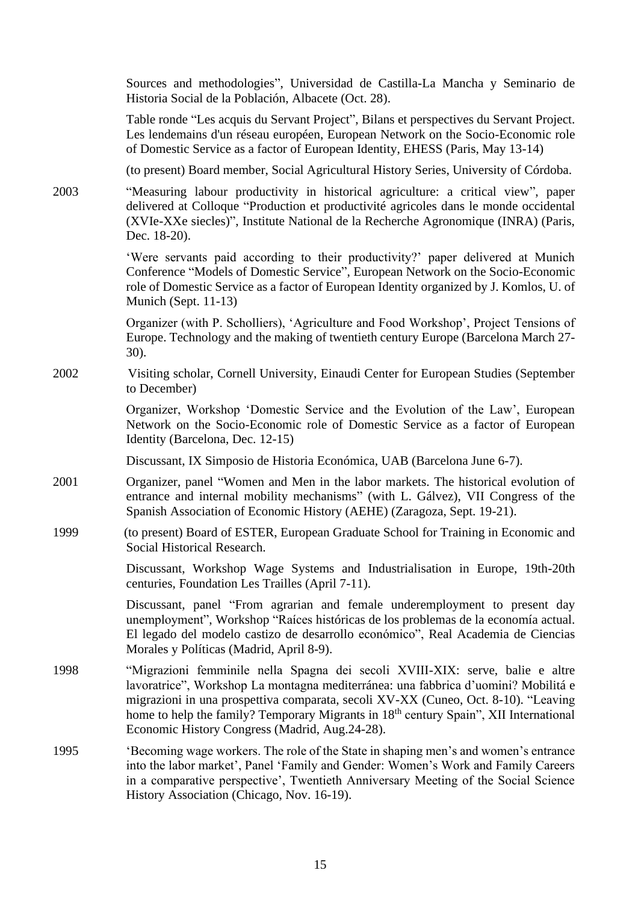|      | Sources and methodologies", Universidad de Castilla-La Mancha y Seminario de<br>Historia Social de la Población, Albacete (Oct. 28).                                                                                                                                                                                                                                                                              |
|------|-------------------------------------------------------------------------------------------------------------------------------------------------------------------------------------------------------------------------------------------------------------------------------------------------------------------------------------------------------------------------------------------------------------------|
|      | Table ronde "Les acquis du Servant Project", Bilans et perspectives du Servant Project.<br>Les lendemains d'un réseau européen, European Network on the Socio-Economic role<br>of Domestic Service as a factor of European Identity, EHESS (Paris, May 13-14)                                                                                                                                                     |
|      | (to present) Board member, Social Agricultural History Series, University of Córdoba.                                                                                                                                                                                                                                                                                                                             |
| 2003 | "Measuring labour productivity in historical agriculture: a critical view", paper<br>delivered at Colloque "Production et productivité agricoles dans le monde occidental<br>(XVIe-XXe siecles)", Institute National de la Recherche Agronomique (INRA) (Paris,<br>Dec. 18-20).                                                                                                                                   |
|      | 'Were servants paid according to their productivity?' paper delivered at Munich<br>Conference "Models of Domestic Service", European Network on the Socio-Economic<br>role of Domestic Service as a factor of European Identity organized by J. Komlos, U. of<br>Munich (Sept. 11-13)                                                                                                                             |
|      | Organizer (with P. Scholliers), 'Agriculture and Food Workshop', Project Tensions of<br>Europe. Technology and the making of twentieth century Europe (Barcelona March 27-<br>$30$ ).                                                                                                                                                                                                                             |
| 2002 | Visiting scholar, Cornell University, Einaudi Center for European Studies (September<br>to December)                                                                                                                                                                                                                                                                                                              |
|      | Organizer, Workshop 'Domestic Service and the Evolution of the Law', European<br>Network on the Socio-Economic role of Domestic Service as a factor of European<br>Identity (Barcelona, Dec. 12-15)                                                                                                                                                                                                               |
|      | Discussant, IX Simposio de Historia Económica, UAB (Barcelona June 6-7).                                                                                                                                                                                                                                                                                                                                          |
| 2001 | Organizer, panel "Women and Men in the labor markets. The historical evolution of<br>entrance and internal mobility mechanisms" (with L. Gálvez), VII Congress of the<br>Spanish Association of Economic History (AEHE) (Zaragoza, Sept. 19-21).                                                                                                                                                                  |
| 1999 | (to present) Board of ESTER, European Graduate School for Training in Economic and<br>Social Historical Research.                                                                                                                                                                                                                                                                                                 |
|      | Discussant, Workshop Wage Systems and Industrialisation in Europe, 19th-20th<br>centuries, Foundation Les Trailles (April 7-11).                                                                                                                                                                                                                                                                                  |
|      | Discussant, panel "From agrarian and female underemployment to present day<br>unemployment", Workshop "Raíces históricas de los problemas de la economía actual.<br>El legado del modelo castizo de desarrollo económico", Real Academia de Ciencias<br>Morales y Políticas (Madrid, April 8-9).                                                                                                                  |
| 1998 | "Migrazioni femminile nella Spagna dei secoli XVIII-XIX: serve, balie e altre<br>lavoratrice", Workshop La montagna mediterránea: una fabbrica d'uomini? Mobilitá e<br>migrazioni in una prospettiva comparata, secoli XV-XX (Cuneo, Oct. 8-10). "Leaving<br>home to help the family? Temporary Migrants in 18 <sup>th</sup> century Spain", XII International<br>Economic History Congress (Madrid, Aug. 24-28). |
| 1995 | 'Becoming wage workers. The role of the State in shaping men's and women's entrance<br>into the labor market', Panel 'Family and Gender: Women's Work and Family Careers<br>in a comparative perspective', Twentieth Anniversary Meeting of the Social Science<br>History Association (Chicago, Nov. 16-19).                                                                                                      |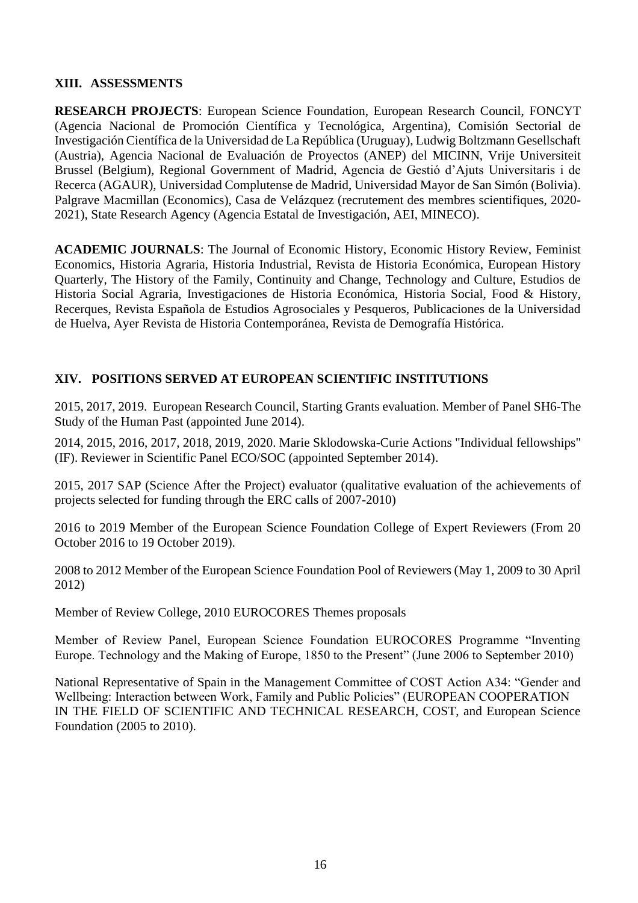#### **XIII. ASSESSMENTS**

**RESEARCH PROJECTS**: European Science Foundation, European Research Council, FONCYT (Agencia Nacional de Promoción Científica y Tecnológica, Argentina), Comisión Sectorial de Investigación Científica de la Universidad de La República (Uruguay), Ludwig Boltzmann Gesellschaft (Austria), Agencia Nacional de Evaluación de Proyectos (ANEP) del MICINN, Vrije Universiteit Brussel (Belgium), Regional Government of Madrid, Agencia de Gestió d'Ajuts Universitaris i de Recerca (AGAUR), Universidad Complutense de Madrid, Universidad Mayor de San Simón (Bolivia). Palgrave Macmillan (Economics), Casa de Velázquez (recrutement des membres scientifiques, 2020- 2021), State Research Agency (Agencia Estatal de Investigación, AEI, MINECO).

**ACADEMIC JOURNALS**: The Journal of Economic History, Economic History Review, Feminist Economics, Historia Agraria, Historia Industrial, Revista de Historia Económica, European History Quarterly, The History of the Family, Continuity and Change, Technology and Culture, Estudios de Historia Social Agraria, Investigaciones de Historia Económica, Historia Social, Food & History, Recerques, Revista Española de Estudios Agrosociales y Pesqueros, Publicaciones de la Universidad de Huelva, Ayer Revista de Historia Contemporánea, Revista de Demografía Histórica.

## **XIV. POSITIONS SERVED AT EUROPEAN SCIENTIFIC INSTITUTIONS**

2015, 2017, 2019. European Research Council, Starting Grants evaluation. Member of Panel SH6-The Study of the Human Past (appointed June 2014).

2014, 2015, 2016, 2017, 2018, 2019, 2020. Marie Sklodowska-Curie Actions "Individual fellowships" (IF). Reviewer in Scientific Panel ECO/SOC (appointed September 2014).

2015, 2017 SAP (Science After the Project) evaluator (qualitative evaluation of the achievements of projects selected for funding through the ERC calls of 2007-2010)

2016 to 2019 Member of the European Science Foundation College of Expert Reviewers (From 20 October 2016 to 19 October 2019).

2008 to 2012 Member of the European Science Foundation Pool of Reviewers (May 1, 2009 to 30 April 2012)

Member of Review College, 2010 EUROCORES Themes proposals

Member of Review Panel, European Science Foundation EUROCORES Programme "Inventing Europe. Technology and the Making of Europe, 1850 to the Present" (June 2006 to September 2010)

National Representative of Spain in the Management Committee of COST Action A34: "Gender and Wellbeing: Interaction between Work, Family and Public Policies" (EUROPEAN COOPERATION IN THE FIELD OF SCIENTIFIC AND TECHNICAL RESEARCH, COST, and European Science Foundation (2005 to 2010).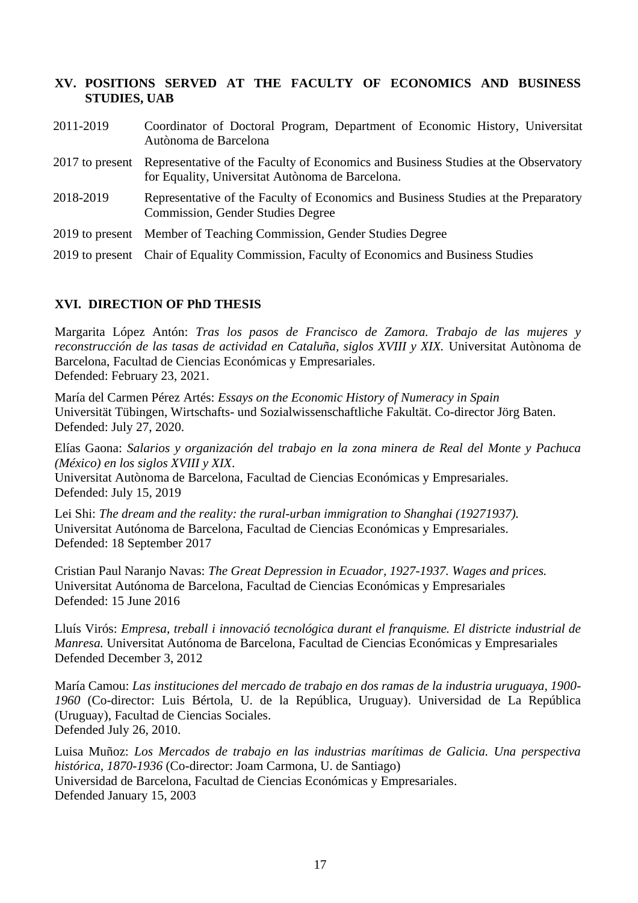## **XV. POSITIONS SERVED AT THE FACULTY OF ECONOMICS AND BUSINESS STUDIES, UAB**

| 2011-2019       | Coordinator of Doctoral Program, Department of Economic History, Universitat<br>Autònoma de Barcelona                                  |
|-----------------|----------------------------------------------------------------------------------------------------------------------------------------|
| 2017 to present | Representative of the Faculty of Economics and Business Studies at the Observatory<br>for Equality, Universitat Autònoma de Barcelona. |
| 2018-2019       | Representative of the Faculty of Economics and Business Studies at the Preparatory<br><b>Commission, Gender Studies Degree</b>         |
|                 | 2019 to present Member of Teaching Commission, Gender Studies Degree                                                                   |
|                 | 2019 to present Chair of Equality Commission, Faculty of Economics and Business Studies                                                |

# **XVI. DIRECTION OF PhD THESIS**

Margarita López Antón: *Tras los pasos de Francisco de Zamora. Trabajo de las mujeres y*  reconstrucción de las tasas de actividad en Cataluña, siglos XVIII y XIX. Universitat Autònoma de Barcelona, Facultad de Ciencias Económicas y Empresariales. Defended: February 23, 2021.

María del Carmen Pérez Artés: *Essays on the Economic History of Numeracy in Spain* Universität Tübingen, Wirtschafts- und Sozialwissenschaftliche Fakultät. Co-director Jörg Baten. Defended: July 27, 2020.

Elías Gaona: *Salarios y organización del trabajo en la zona minera de Real del Monte y Pachuca (México) en los siglos XVIII y XIX*.

Universitat Autònoma de Barcelona, Facultad de Ciencias Económicas y Empresariales. Defended: July 15, 2019

Lei Shi: *The dream and the reality: the rural-urban immigration to Shanghai (19271937).* Universitat Autónoma de Barcelona, Facultad de Ciencias Económicas y Empresariales. Defended: 18 September 2017

Cristian Paul Naranjo Navas: *The Great Depression in Ecuador, 1927-1937. Wages and prices.* Universitat Autónoma de Barcelona, Facultad de Ciencias Económicas y Empresariales Defended: 15 June 2016

Lluís Virós: *Empresa, treball i innovació tecnológica durant el franquisme. El districte industrial de Manresa.* Universitat Autónoma de Barcelona, Facultad de Ciencias Económicas y Empresariales Defended December 3, 2012

María Camou: *Las instituciones del mercado de trabajo en dos ramas de la industria uruguaya, 1900- 1960* (Co-director: Luis Bértola, U. de la República, Uruguay). Universidad de La República (Uruguay), Facultad de Ciencias Sociales. Defended July 26, 2010.

Luisa Muñoz: *Los Mercados de trabajo en las industrias marítimas de Galicia. Una perspectiva histórica, 1870-1936* (Co-director: Joam Carmona, U. de Santiago) Universidad de Barcelona, Facultad de Ciencias Económicas y Empresariales. Defended January 15, 2003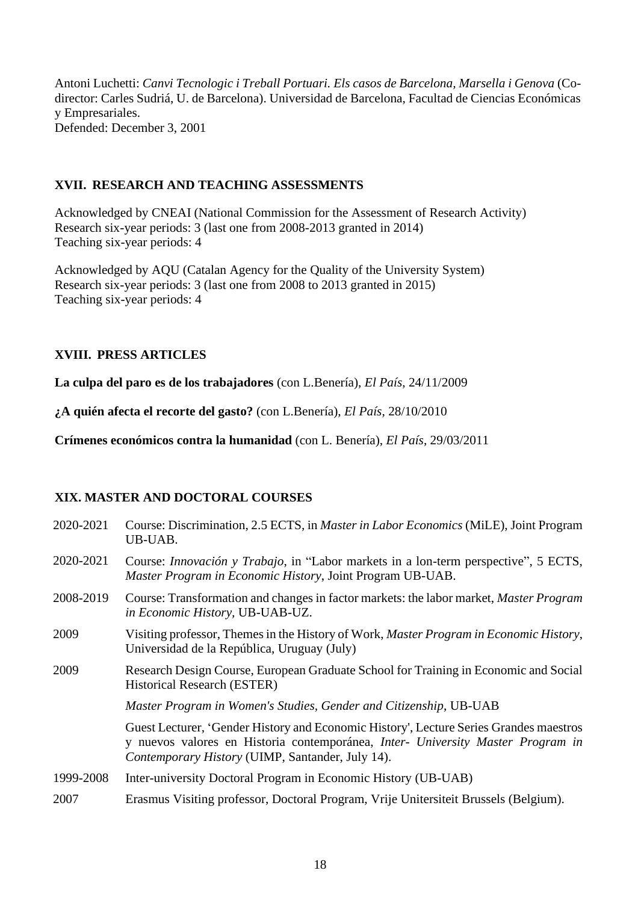Antoni Luchetti: *Canvi Tecnologic i Treball Portuari. Els casos de Barcelona, Marsella i Genova* (Codirector: Carles Sudriá, U. de Barcelona). Universidad de Barcelona, Facultad de Ciencias Económicas y Empresariales. Defended: December 3, 2001

## **XVII. RESEARCH AND TEACHING ASSESSMENTS**

Acknowledged by CNEAI (National Commission for the Assessment of Research Activity) Research six-year periods: 3 (last one from 2008-2013 granted in 2014) Teaching six-year periods: 4

Acknowledged by AQU (Catalan Agency for the Quality of the University System) Research six-year periods: 3 (last one from 2008 to 2013 granted in 2015) Teaching six-year periods: 4

## **XVIII. PRESS ARTICLES**

**La culpa del paro es de los trabajadores** (con L.Benería), *El País*, 24/11/2009

**¿A quién afecta el recorte del gasto?** (con L.Benería), *El País*, 28/10/2010

**Crímenes económicos contra la humanidad** (con L. Benería), *El País*, 29/03/2011

## **XIX. MASTER AND DOCTORAL COURSES**

| 2020-2021 | Course: Discrimination, 2.5 ECTS, in <i>Master in Labor Economics</i> (MiLE), Joint Program<br>UB-UAB.                                                                                                                        |
|-----------|-------------------------------------------------------------------------------------------------------------------------------------------------------------------------------------------------------------------------------|
| 2020-2021 | Course: <i>Innovación</i> y <i>Trabajo</i> , in "Labor markets in a lon-term perspective", 5 ECTS,<br><i>Master Program in Economic History, Joint Program UB-UAB.</i>                                                        |
| 2008-2019 | Course: Transformation and changes in factor markets: the labor market, Master Program<br>in Economic History, UB-UAB-UZ.                                                                                                     |
| 2009      | Visiting professor, Themes in the History of Work, Master Program in Economic History,<br>Universidad de la República, Uruguay (July)                                                                                         |
| 2009      | Research Design Course, European Graduate School for Training in Economic and Social<br><b>Historical Research (ESTER)</b>                                                                                                    |
|           | Master Program in Women's Studies, Gender and Citizenship, UB-UAB                                                                                                                                                             |
|           | Guest Lecturer, 'Gender History and Economic History', Lecture Series Grandes maestros<br>y nuevos valores en Historia contemporánea, Inter- University Master Program in<br>Contemporary History (UIMP, Santander, July 14). |
| 1999-2008 | Inter-university Doctoral Program in Economic History (UB-UAB)                                                                                                                                                                |
| 2007      | Erasmus Visiting professor, Doctoral Program, Vrije Unitersiteit Brussels (Belgium).                                                                                                                                          |